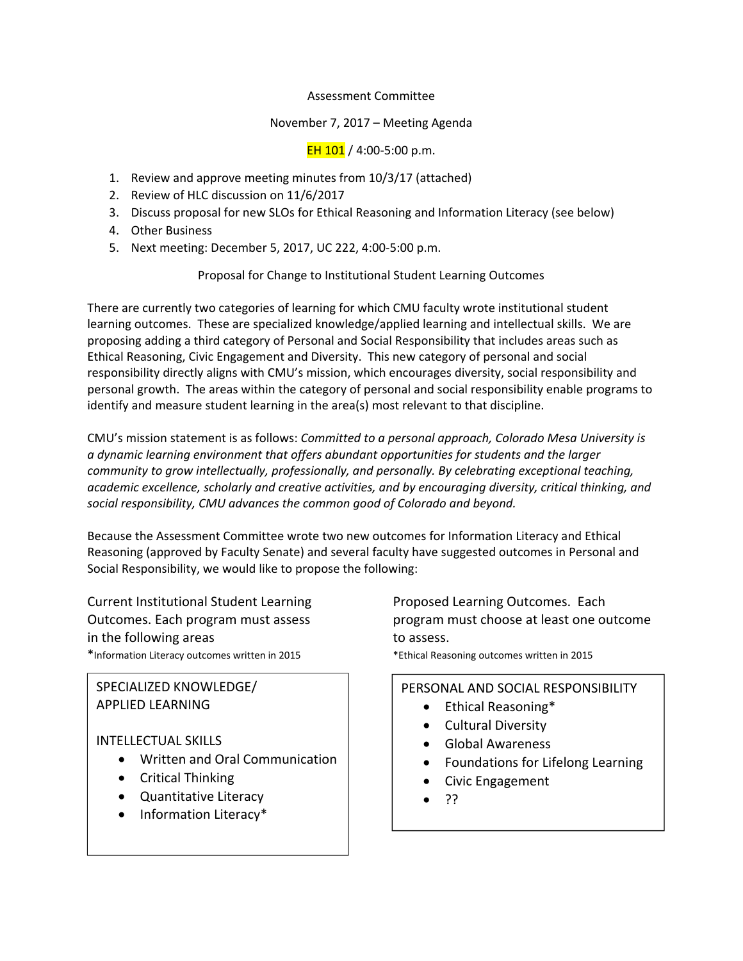### Assessment Committee

## November 7, 2017 – Meeting Agenda

EH  $101 / 4:00 - 5:00$  p.m.

- 1. Review and approve meeting minutes from 10/3/17 (attached)
- 2. Review of HLC discussion on 11/6/2017
- 3. Discuss proposal for new SLOs for Ethical Reasoning and Information Literacy (see below)
- 4. Other Business
- 5. Next meeting: December 5, 2017, UC 222, 4:00‐5:00 p.m.

## Proposal for Change to Institutional Student Learning Outcomes

There are currently two categories of learning for which CMU faculty wrote institutional student learning outcomes. These are specialized knowledge/applied learning and intellectual skills. We are proposing adding a third category of Personal and Social Responsibility that includes areas such as Ethical Reasoning, Civic Engagement and Diversity. This new category of personal and social responsibility directly aligns with CMU's mission, which encourages diversity, social responsibility and personal growth. The areas within the category of personal and social responsibility enable programs to identify and measure student learning in the area(s) most relevant to that discipline.

CMU's mission statement is as follows: *Committed to a personal approach, Colorado Mesa University is a dynamic learning environment that offers abundant opportunities for students and the larger community to grow intellectually, professionally, and personally. By celebrating exceptional teaching, academic excellence, scholarly and creative activities, and by encouraging diversity, critical thinking, and social responsibility, CMU advances the common good of Colorado and beyond.* 

Because the Assessment Committee wrote two new outcomes for Information Literacy and Ethical Reasoning (approved by Faculty Senate) and several faculty have suggested outcomes in Personal and Social Responsibility, we would like to propose the following:

Current Institutional Student Learning Proposed Learning Outcomes. Each in the following areas to assess. \*Information Literacy outcomes written in 2015 \*Ethical Reasoning outcomes written in 2015

# SPECIALIZED KNOWLEDGE/ APPLIED LEARNING

# INTELLECTUAL SKILLS

- **•** Written and Oral Communication
	- Critical Thinking
	- Quantitative Literacy
	- Information Literacy\*

Outcomes. Each program must assess program must choose at least one outcome

# PERSONAL AND SOCIAL RESPONSIBILITY

- Ethical Reasoning\*
- Cultural Diversity
- Global Awareness
- Foundations for Lifelong Learning
- Civic Engagement
- $\bullet$  ??